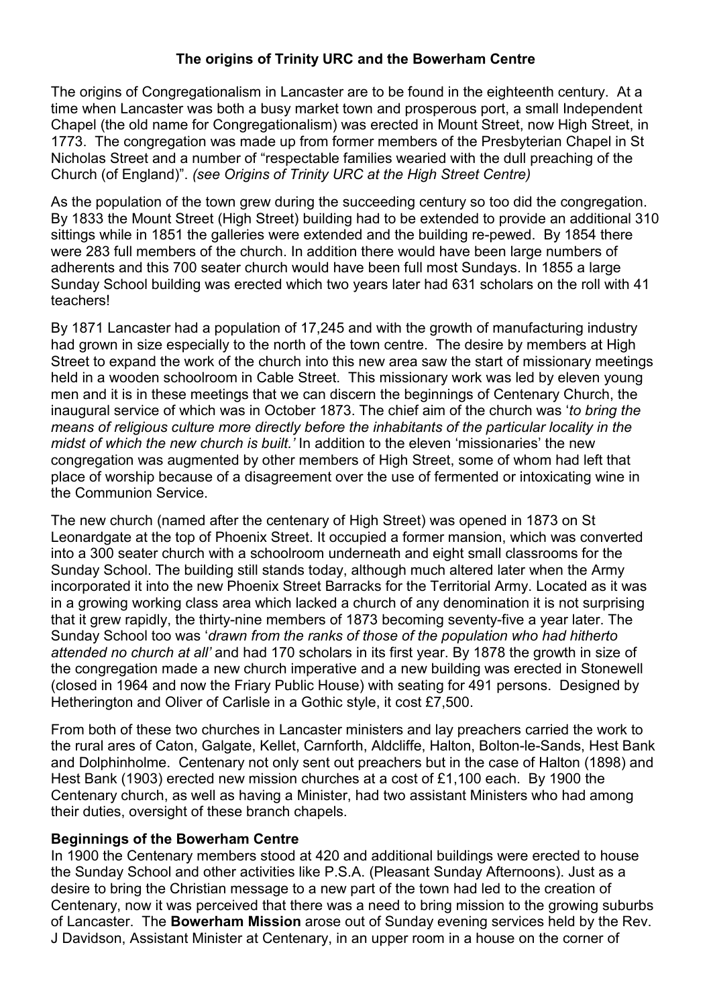### The origins of Trinity URC and the Bowerham Centre

The origins of Congregationalism in Lancaster are to be found in the eighteenth century. At a time when Lancaster was both a busy market town and prosperous port, a small Independent Chapel (the old name for Congregationalism) was erected in Mount Street, now High Street, in 1773. The congregation was made up from former members of the Presbyterian Chapel in St Nicholas Street and a number of "respectable families wearied with the dull preaching of the Church (of England)". (see Origins of Trinity URC at the High Street Centre)

As the population of the town grew during the succeeding century so too did the congregation. By 1833 the Mount Street (High Street) building had to be extended to provide an additional 310 sittings while in 1851 the galleries were extended and the building re-pewed. By 1854 there were 283 full members of the church. In addition there would have been large numbers of adherents and this 700 seater church would have been full most Sundays. In 1855 a large Sunday School building was erected which two years later had 631 scholars on the roll with 41 teachers!

By 1871 Lancaster had a population of 17,245 and with the growth of manufacturing industry had grown in size especially to the north of the town centre. The desire by members at High Street to expand the work of the church into this new area saw the start of missionary meetings held in a wooden schoolroom in Cable Street. This missionary work was led by eleven young men and it is in these meetings that we can discern the beginnings of Centenary Church, the inaugural service of which was in October 1873. The chief aim of the church was 'to bring the means of religious culture more directly before the inhabitants of the particular locality in the midst of which the new church is built.' In addition to the eleven 'missionaries' the new congregation was augmented by other members of High Street, some of whom had left that place of worship because of a disagreement over the use of fermented or intoxicating wine in the Communion Service.

The new church (named after the centenary of High Street) was opened in 1873 on St Leonardgate at the top of Phoenix Street. It occupied a former mansion, which was converted into a 300 seater church with a schoolroom underneath and eight small classrooms for the Sunday School. The building still stands today, although much altered later when the Army incorporated it into the new Phoenix Street Barracks for the Territorial Army. Located as it was in a growing working class area which lacked a church of any denomination it is not surprising that it grew rapidly, the thirty-nine members of 1873 becoming seventy-five a year later. The Sunday School too was 'drawn from the ranks of those of the population who had hitherto attended no church at all' and had 170 scholars in its first year. By 1878 the growth in size of the congregation made a new church imperative and a new building was erected in Stonewell (closed in 1964 and now the Friary Public House) with seating for 491 persons. Designed by Hetherington and Oliver of Carlisle in a Gothic style, it cost £7,500.

From both of these two churches in Lancaster ministers and lay preachers carried the work to the rural ares of Caton, Galgate, Kellet, Carnforth, Aldcliffe, Halton, Bolton-le-Sands, Hest Bank and Dolphinholme. Centenary not only sent out preachers but in the case of Halton (1898) and Hest Bank (1903) erected new mission churches at a cost of £1,100 each. By 1900 the Centenary church, as well as having a Minister, had two assistant Ministers who had among their duties, oversight of these branch chapels.

#### Beginnings of the Bowerham Centre

In 1900 the Centenary members stood at 420 and additional buildings were erected to house the Sunday School and other activities like P.S.A. (Pleasant Sunday Afternoons). Just as a desire to bring the Christian message to a new part of the town had led to the creation of Centenary, now it was perceived that there was a need to bring mission to the growing suburbs of Lancaster. The Bowerham Mission arose out of Sunday evening services held by the Rev. J Davidson, Assistant Minister at Centenary, in an upper room in a house on the corner of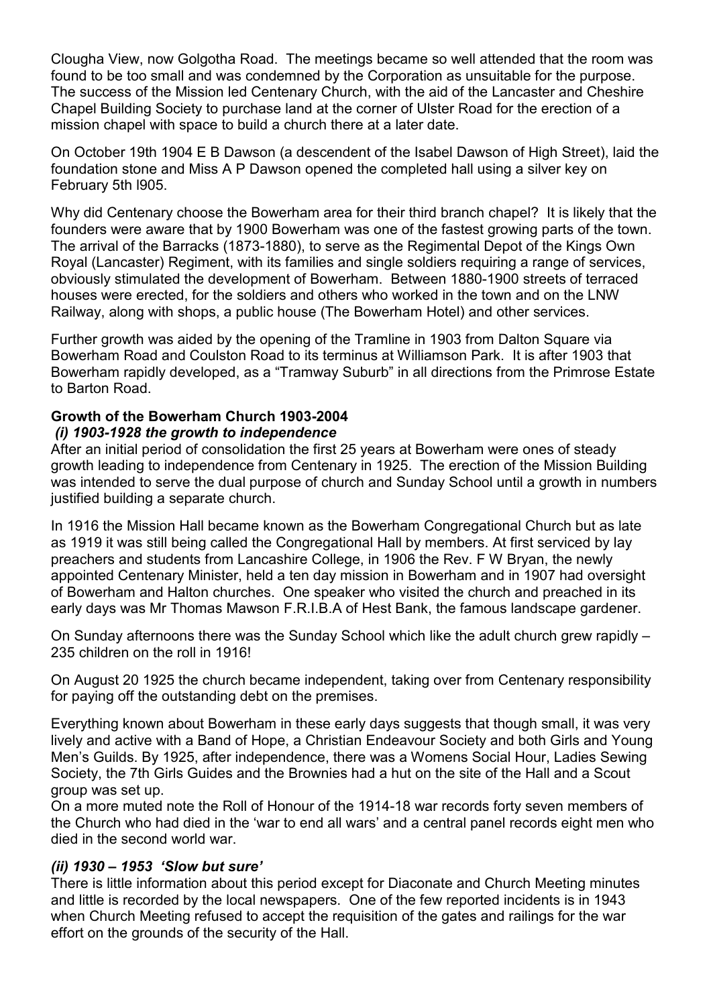Clougha View, now Golgotha Road. The meetings became so well attended that the room was found to be too small and was condemned by the Corporation as unsuitable for the purpose. The success of the Mission led Centenary Church, with the aid of the Lancaster and Cheshire Chapel Building Society to purchase land at the corner of Ulster Road for the erection of a mission chapel with space to build a church there at a later date.

On October 19th 1904 E B Dawson (a descendent of the Isabel Dawson of High Street), laid the foundation stone and Miss A P Dawson opened the completed hall using a silver key on February 5th l905.

Why did Centenary choose the Bowerham area for their third branch chapel? It is likely that the founders were aware that by 1900 Bowerham was one of the fastest growing parts of the town. The arrival of the Barracks (1873-1880), to serve as the Regimental Depot of the Kings Own Royal (Lancaster) Regiment, with its families and single soldiers requiring a range of services, obviously stimulated the development of Bowerham. Between 1880-1900 streets of terraced houses were erected, for the soldiers and others who worked in the town and on the LNW Railway, along with shops, a public house (The Bowerham Hotel) and other services.

Further growth was aided by the opening of the Tramline in 1903 from Dalton Square via Bowerham Road and Coulston Road to its terminus at Williamson Park. It is after 1903 that Bowerham rapidly developed, as a "Tramway Suburb" in all directions from the Primrose Estate to Barton Road.

# Growth of the Bowerham Church 1903-2004

#### (i) 1903-1928 the growth to independence

After an initial period of consolidation the first 25 years at Bowerham were ones of steady growth leading to independence from Centenary in 1925. The erection of the Mission Building was intended to serve the dual purpose of church and Sunday School until a growth in numbers justified building a separate church.

In 1916 the Mission Hall became known as the Bowerham Congregational Church but as late as 1919 it was still being called the Congregational Hall by members. At first serviced by lay preachers and students from Lancashire College, in 1906 the Rev. F W Bryan, the newly appointed Centenary Minister, held a ten day mission in Bowerham and in 1907 had oversight of Bowerham and Halton churches. One speaker who visited the church and preached in its early days was Mr Thomas Mawson F.R.I.B.A of Hest Bank, the famous landscape gardener.

On Sunday afternoons there was the Sunday School which like the adult church grew rapidly – 235 children on the roll in 1916!

On August 20 1925 the church became independent, taking over from Centenary responsibility for paying off the outstanding debt on the premises.

Everything known about Bowerham in these early days suggests that though small, it was very lively and active with a Band of Hope, a Christian Endeavour Society and both Girls and Young Men's Guilds. By 1925, after independence, there was a Womens Social Hour, Ladies Sewing Society, the 7th Girls Guides and the Brownies had a hut on the site of the Hall and a Scout group was set up.

On a more muted note the Roll of Honour of the 1914-18 war records forty seven members of the Church who had died in the 'war to end all wars' and a central panel records eight men who died in the second world war.

## (ii) 1930 – 1953 'Slow but sure'

There is little information about this period except for Diaconate and Church Meeting minutes and little is recorded by the local newspapers. One of the few reported incidents is in 1943 when Church Meeting refused to accept the requisition of the gates and railings for the war effort on the grounds of the security of the Hall.